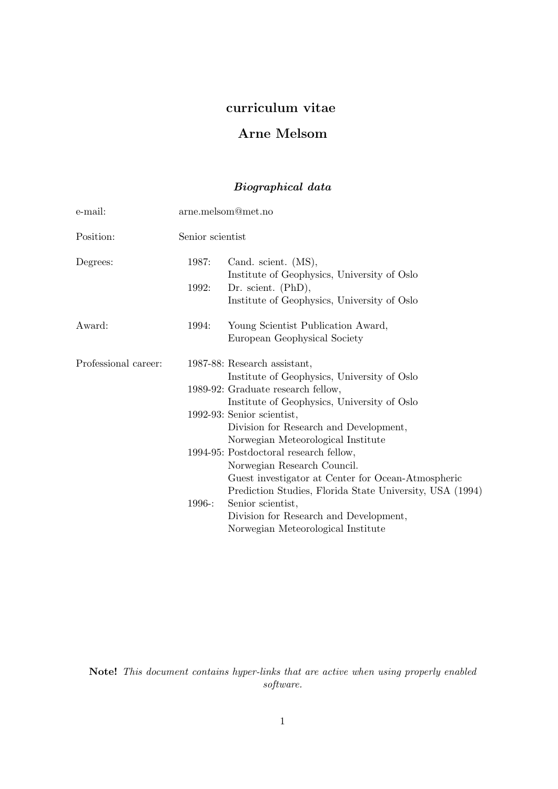# curriculum vitae

# Arne Melsom

# Biographical data

| e-mail:              | arne.melsom@met.no |                                                          |
|----------------------|--------------------|----------------------------------------------------------|
| Position:            | Senior scientist   |                                                          |
| Degrees:             | 1987:              | Cand. scient. (MS),                                      |
|                      |                    | Institute of Geophysics, University of Oslo              |
|                      | 1992:              | Dr. scient. $(PhD),$                                     |
|                      |                    | Institute of Geophysics, University of Oslo              |
| Award:               | 1994:              | Young Scientist Publication Award,                       |
|                      |                    | European Geophysical Society                             |
| Professional career: |                    | 1987-88: Research assistant,                             |
|                      |                    | Institute of Geophysics, University of Oslo              |
|                      |                    | 1989-92: Graduate research fellow,                       |
|                      |                    | Institute of Geophysics, University of Oslo              |
|                      |                    | 1992-93: Senior scientist,                               |
|                      |                    | Division for Research and Development,                   |
|                      |                    | Norwegian Meteorological Institute                       |
|                      |                    | 1994-95: Postdoctoral research fellow,                   |
|                      |                    | Norwegian Research Council.                              |
|                      |                    | Guest investigator at Center for Ocean-Atmospheric       |
|                      |                    | Prediction Studies, Florida State University, USA (1994) |
|                      | 1996:              | Senior scientist,                                        |
|                      |                    | Division for Research and Development,                   |
|                      |                    | Norwegian Meteorological Institute                       |

Note! This document contains hyper-links that are active when using properly enabled software.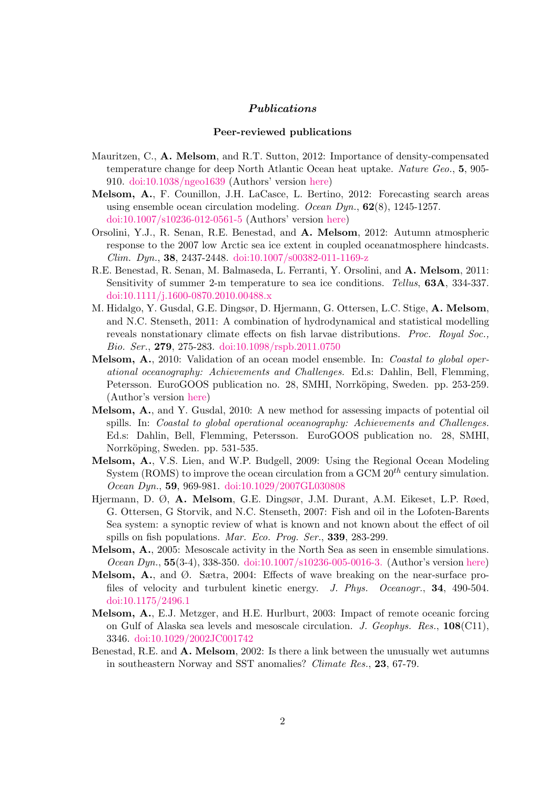## Publications

### Peer-reviewed publications

- Mauritzen, C., A. Melsom, and R.T. Sutton, 2012: Importance of density-compensated temperature change for deep North Atlantic Ocean heat uptake. Nature Geo., 5, 905-910. [doi:10.1038/ngeo1639](http://dx.doi.org/10.1038/ngeo1639) (Authors' version [here\)](http://projects.met.no/DecCast/documents/ngeo1639AuthorVersion.pdf)
- Melsom, A., F. Counillon, J.H. LaCasce, L. Bertino, 2012: Forecasting search areas using ensemble ocean circulation modeling. Ocean  $Dyn.$  62(8), 1245-1257. [doi:10.1007/s10236-012-0561-5](http://dx.doi.org/10.1007/s10236-012-0561-5) (Authors' version [here\)](http://projects.met.no/DecCast/documents/OD62p1245AuthorVersion.pdf)
- Orsolini, Y.J., R. Senan, R.E. Benestad, and A. Melsom, 2012: Autumn atmospheric response to the 2007 low Arctic sea ice extent in coupled oceanatmosphere hindcasts. *Clim. Dyn.*, **38**, 2437-2448. [doi:10.1007/s00382-011-1169-z](http://dx.doi.org/10.1007/s00382-011-1169-z)
- R.E. Benestad, R. Senan, M. Balmaseda, L. Ferranti, Y. Orsolini, and A. Melsom, 2011: Sensitivity of summer 2-m temperature to sea ice conditions. Tellus, 63A, 334-337. [doi:10.1111/j.1600-0870.2010.00488.x](http://dx.doi.org/10.1111/j.1600-0870.2010.00488.x)
- M. Hidalgo, Y. Gusdal, G.E. Dingsør, D. Hjermann, G. Ottersen, L.C. Stige, A. Melsom, and N.C. Stenseth, 2011: A combination of hydrodynamical and statistical modelling reveals nonstationary climate effects on fish larvae distributions. Proc. Royal Soc., Bio. Ser., 279, 275-283. [doi:10.1098/rspb.2011.0750](http://dx.doi.org/10.1098/rspb.2011.0750)
- Melsom, A., 2010: Validation of an ocean model ensemble. In: Coastal to global operational oceanography: Achievements and Challenges. Ed.s: Dahlin, Bell, Flemming, Petersson. EuroGOOS publication no. 28, SMHI, Norrköping, Sweden. pp. 253-259. (Author's version [here\)](http://projects.met.no/DecCast/documents/EuroGOOS28p253.pdf)
- Melsom, A., and Y. Gusdal, 2010: A new method for assessing impacts of potential oil spills. In: Coastal to global operational oceanography: Achievements and Challenges. Ed.s: Dahlin, Bell, Flemming, Petersson. EuroGOOS publication no. 28, SMHI, Norrköping, Sweden. pp. 531-535.
- Melsom, A., V.S. Lien, and W.P. Budgell, 2009: Using the Regional Ocean Modeling System (ROMS) to improve the ocean circulation from a GCM  $20^{th}$  century simulation. Ocean Dyn., 59, 969-981. [doi:10.1029/2007GL030808](http://dx.doi.org/10.1029/2007GL030808)
- Hjermann, D. Ø, A. Melsom, G.E. Dingsør, J.M. Durant, A.M. Eikeset, L.P. Røed, G. Ottersen, G Storvik, and N.C. Stenseth, 2007: Fish and oil in the Lofoten-Barents Sea system: a synoptic review of what is known and not known about the effect of oil spills on fish populations. Mar. Eco. Prog. Ser., 339, 283-299.
- Melsom, A., 2005: Mesoscale activity in the North Sea as seen in ensemble simulations. Ocean Dyn., 55(3-4), 338-350. [doi:10.1007/s10236-005-0016-3.](http://dx.doi.org/10.1007/s10236-005-0016-3) (Author's version [here\)](http://projects.met.no/DecCast/documents/OD55p338.pdf)
- **Melsom, A.**, and  $\emptyset$ . Sætra, 2004: Effects of wave breaking on the near-surface profiles of velocity and turbulent kinetic energy. J. Phys. Oceanogr., 34, 490-504. [doi:10.1175/2496.1](http://dx.doi.org/10.1175/2496.1)
- Melsom, A., E.J. Metzger, and H.E. Hurlburt, 2003: Impact of remote oceanic forcing on Gulf of Alaska sea levels and mesoscale circulation. J. Geophys. Res., 108(C11), 3346. [doi:10.1029/2002JC001742](http://dx.doi.org/10.1029/2002JC001742)
- Benestad, R.E. and A. Melsom, 2002: Is there a link between the unusually wet autumns in southeastern Norway and SST anomalies? Climate Res., 23, 67-79.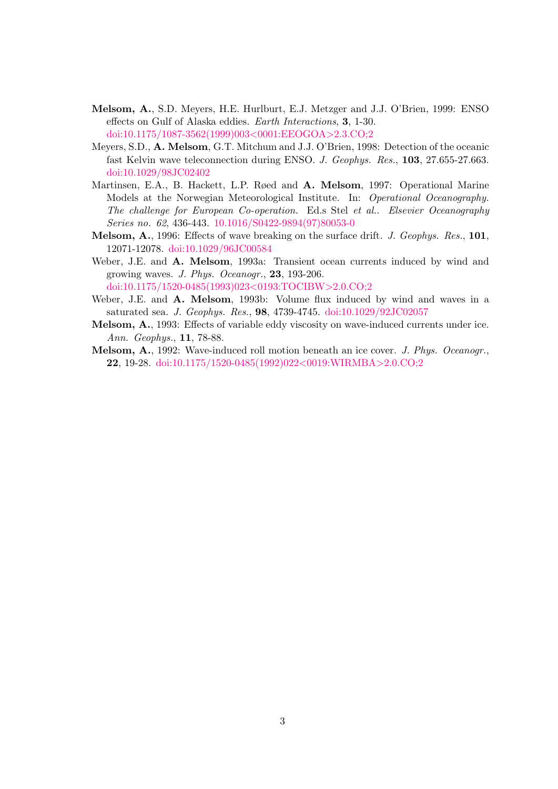- Melsom, A., S.D. Meyers, H.E. Hurlburt, E.J. Metzger and J.J. O'Brien, 1999: ENSO effects on Gulf of Alaska eddies. Earth Interactions, 3, 1-30. [doi:10.1175/1087-3562\(1999\)003](http://dx.doi.org/10.1175/1087-3562(1999)003<0001:EEOGOA>2.3.CO;2)<0001:EEOGOA>2.3.CO;2
- Meyers, S.D., A. Melsom, G.T. Mitchum and J.J. O'Brien, 1998: Detection of the oceanic fast Kelvin wave teleconnection during ENSO. J. Geophys. Res., 103, 27.655-27.663. [doi:10.1029/98JC02402](http://dx.doi.org/10.1029/98JC02402)
- Martinsen, E.A., B. Hackett, L.P. Røed and A. Melsom, 1997: Operational Marine Models at the Norwegian Meteorological Institute. In: Operational Oceanography. The challenge for European Co-operation. Ed.s Stel et al.. Elsevier Oceanography Series no. 62, 436-443. [10.1016/S0422-9894\(97\)80053-0](http://dx.doi.org/10.1016/S0422-9894(97)80053-0)
- Melsom, A., 1996: Effects of wave breaking on the surface drift. J. Geophys. Res., 101, 12071-12078. [doi:10.1029/96JC00584](http://dx.doi.org/10.1029/96JC00584)
- Weber, J.E. and A. Melsom, 1993a: Transient ocean currents induced by wind and growing waves. J. Phys. Oceanogr., 23, 193-206. [doi:10.1175/1520-0485\(1993\)023](http://dx.doi.org/10.1175/1520-0485(1993)023<0193:TOCIBW>2.0.CO;2)<0193:TOCIBW>2.0.CO;2
- Weber, J.E. and A. Melsom, 1993b: Volume flux induced by wind and waves in a saturated sea. J. Geophys. Res., 98, 4739-4745. [doi:10.1029/92JC02057](http://dx.doi.org/10.1029/92JC02057)
- Melsom, A., 1993: Effects of variable eddy viscosity on wave-induced currents under ice. Ann. Geophys., 11, 78-88.
- Melsom, A., 1992: Wave-induced roll motion beneath an ice cover. J. Phys. Oceanogr., 22, 19-28. [doi:10.1175/1520-0485\(1992\)022](http://dx.doi.org/10.1175/1520-0485(1992)022<0019:WIRMBA>2.0.CO;2)<0019:WIRMBA>2.0.CO;2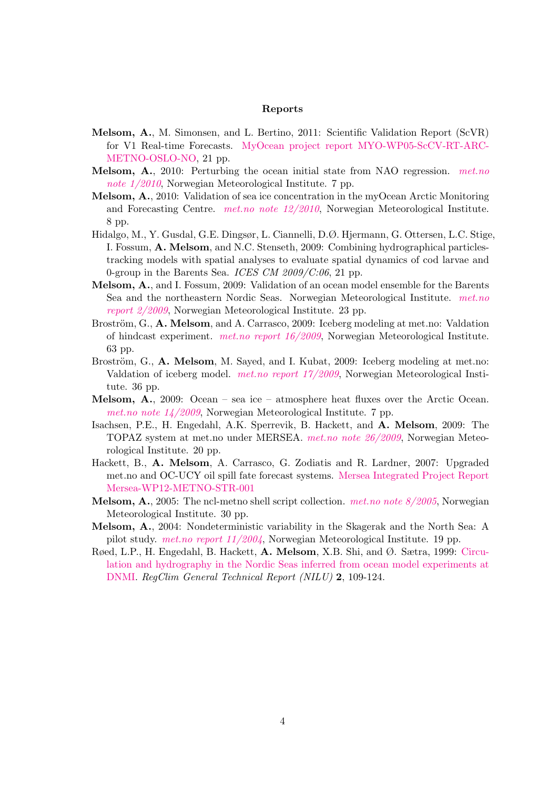## Reports

- Melsom, A., M. Simonsen, and L. Bertino, 2011: Scientific Validation Report (ScVR) for V1 Real-time Forecasts. [MyOcean project report MYO-WP05-ScCV-RT-ARC-](http://myocean.met.no/ARC-MFC/Validation/validationReport01.pdf)[METNO-OSLO-NO,](http://myocean.met.no/ARC-MFC/Validation/validationReport01.pdf) 21 pp.
- Melsom, A., 2010: Perturbing the ocean initial state from NAO regression. [met.no](http://met.no/Forskning/Publikasjoner/filestore/note01-20102.pdf) note  $1/2010$ , Norwegian Meteorological Institute. 7 pp.
- Melsom, A., 2010: Validation of sea ice concentration in the myOcean Arctic Monitoring and Forecasting Centre. [met.no note 12/2010](http://met.no/Forskning/Publikasjoner/filestore/metno_note_12_2010.pdf), Norwegian Meteorological Institute. 8 pp.
- Hidalgo, M., Y. Gusdal, G.E. Dingsør, L. Ciannelli, D.Ø. Hjermann, G. Ottersen, L.C. Stige, I. Fossum, A. Melsom, and N.C. Stenseth, 2009: Combining hydrographical particlestracking models with spatial analyses to evaluate spatial dynamics of cod larvae and 0-group in the Barents Sea. ICES CM  $2009/C:06$ , 21 pp.
- Melsom, A., and I. Fossum, 2009: Validation of an ocean model ensemble for the Barents Sea and the northeastern Nordic Seas. Norwegian Meteorological Institute. [met.no](http://met.no/Forskning/Publikasjoner/filestore/validation.pdf) [report 2/2009](http://met.no/Forskning/Publikasjoner/filestore/validation.pdf), Norwegian Meteorological Institute. 23 pp.
- Broström, G., A. Melsom, and A. Carrasco, 2009: Iceberg modeling at met.no: Valdation of hindcast experiment. [met.no report 16/2009](http://met.no/Forskning/Publikasjoner/filestore/report_16_2009.pdf), Norwegian Meteorological Institute. 63 pp.
- Broström, G., A. Melsom, M. Sayed, and I. Kubat, 2009: Iceberg modeling at met.no: Valdation of iceberg model. [met.no report 17/2009](http://met.no/Forskning/Publikasjoner/filestore/report_17_2009.pdf), Norwegian Meteorological Institute. 36 pp.
- Melsom, A., 2009: Ocean sea ice atmosphere heat fluxes over the Arctic Ocean. [met.no note 14/2009](http://met.no/Forskning/Publikasjoner/filestore/SPARnote.pdf), Norwegian Meteorological Institute. 7 pp.
- Isachsen, P.E., H. Engedahl, A.K. Sperrevik, B. Hackett, and A. Melsom, 2009: The TOPAZ system at met.no under MERSEA. [met.no note 26/2009](http://met.no/Forskning/Publikasjoner/filestore/note26.pdf), Norwegian Meteorological Institute. 20 pp.
- Hackett, B., A. Melsom, A. Carrasco, G. Zodiatis and R. Lardner, 2007: Upgraded met.no and OC-UCY oil spill fate forecast systems. [Mersea Integrated Project Report](http://www.mersea.eu.org/Documents/WP/WP12/Mersea-WP12-METNO-STR-001.pdf) [Mersea-WP12-METNO-STR-001](http://www.mersea.eu.org/Documents/WP/WP12/Mersea-WP12-METNO-STR-001.pdf)
- **Melsom, A.**, 2005: The ncl-metno shell script collection. *[met.no note 8/2005](http://met.no/Forskning/Publikasjoner/filestore/note8_2005.pdf)*, Norwegian Meteorological Institute. 30 pp.
- Melsom, A., 2004: Nondeterministic variability in the Skagerak and the North Sea: A pilot study. [met.no report 11/2004](http://met.no/Forskning/Publikasjoner/filestore/011_2004.pdf), Norwegian Meteorological Institute. 19 pp.
- Røed, L.P., H. Engedahl, B. Hackett, A. Melsom, X.B. Shi, and Ø. Sætra, 1999: [Circu](http://regclim.met.no/rapport_2/circulation_hydrography_ocean_model.htm)[lation and hydrography in the Nordic Seas inferred from ocean model experiments at](http://regclim.met.no/rapport_2/circulation_hydrography_ocean_model.htm) [DNMI.](http://regclim.met.no/rapport_2/circulation_hydrography_ocean_model.htm) RegClim General Technical Report (NILU) 2, 109-124.